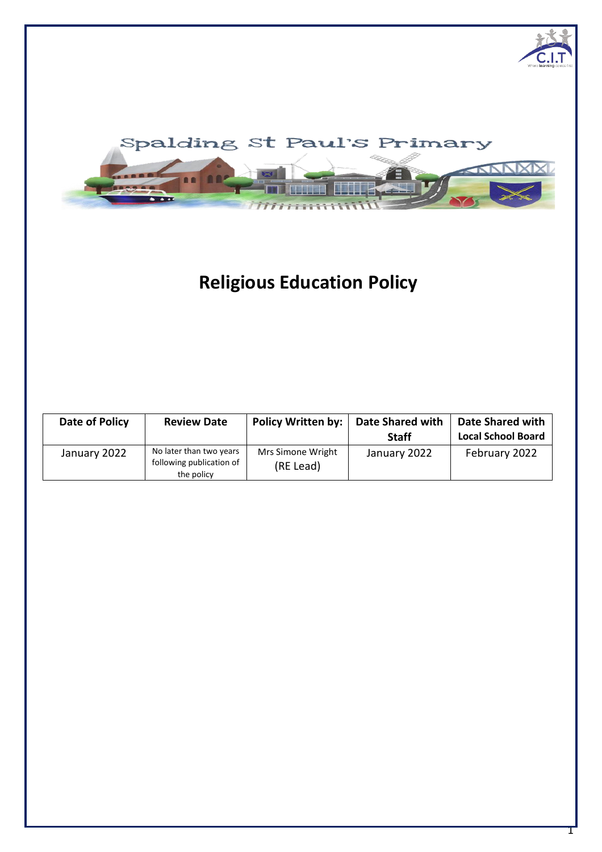

# **Religious Education Policy**

| Date of Policy | <b>Review Date</b>                                                | Policy Written by:             | <b>Date Shared with</b><br><b>Staff</b> | <b>Date Shared with</b><br><b>Local School Board</b> |
|----------------|-------------------------------------------------------------------|--------------------------------|-----------------------------------------|------------------------------------------------------|
| January 2022   | No later than two years<br>following publication of<br>the policy | Mrs Simone Wright<br>(RE Lead) | January 2022                            | February 2022                                        |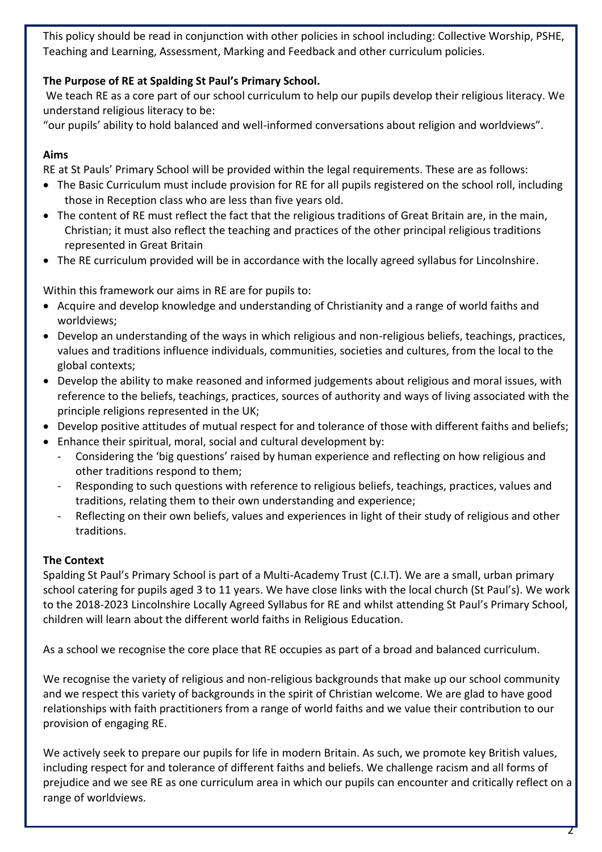This policy should be read in conjunction with other policies in school including: Collective Worship, PSHE, Teaching and Learning, Assessment, Marking and Feedback and other curriculum policies.

# **The Purpose of RE at Spalding St Paul's Primary School.**

We teach RE as a core part of our school curriculum to help our pupils develop their religious literacy. We understand religious literacy to be:

"our pupils' ability to hold balanced and well-informed conversations about religion and worldviews".

# **Aims**

RE at St Pauls' Primary School will be provided within the legal requirements. These are as follows:

- The Basic Curriculum must include provision for RE for all pupils registered on the school roll, including those in Reception class who are less than five years old.
- The content of RE must reflect the fact that the religious traditions of Great Britain are, in the main, Christian; it must also reflect the teaching and practices of the other principal religious traditions represented in Great Britain
- The RE curriculum provided will be in accordance with the locally agreed syllabus for Lincolnshire.

Within this framework our aims in RE are for pupils to:

- Acquire and develop knowledge and understanding of Christianity and a range of world faiths and worldviews;
- Develop an understanding of the ways in which religious and non-religious beliefs, teachings, practices, values and traditions influence individuals, communities, societies and cultures, from the local to the global contexts;
- Develop the ability to make reasoned and informed judgements about religious and moral issues, with reference to the beliefs, teachings, practices, sources of authority and ways of living associated with the principle religions represented in the UK;
- Develop positive attitudes of mutual respect for and tolerance of those with different faiths and beliefs;
- Enhance their spiritual, moral, social and cultural development by:
	- Considering the 'big questions' raised by human experience and reflecting on how religious and other traditions respond to them;
	- Responding to such questions with reference to religious beliefs, teachings, practices, values and traditions, relating them to their own understanding and experience;
	- Reflecting on their own beliefs, values and experiences in light of their study of religious and other traditions.

# **The Context**

Spalding St Paul's Primary School is part of a Multi-Academy Trust (C.I.T). We are a small, urban primary school catering for pupils aged 3 to 11 years. We have close links with the local church (St Paul's). We work to the 2018-2023 Lincolnshire Locally Agreed Syllabus for RE and whilst attending St Paul's Primary School, children will learn about the different world faiths in Religious Education.

As a school we recognise the core place that RE occupies as part of a broad and balanced curriculum.

We recognise the variety of religious and non-religious backgrounds that make up our school community and we respect this variety of backgrounds in the spirit of Christian welcome. We are glad to have good relationships with faith practitioners from a range of world faiths and we value their contribution to our provision of engaging RE.

We actively seek to prepare our pupils for life in modern Britain. As such, we promote key British values, including respect for and tolerance of different faiths and beliefs. We challenge racism and all forms of prejudice and we see RE as one curriculum area in which our pupils can encounter and critically reflect on a range of worldviews.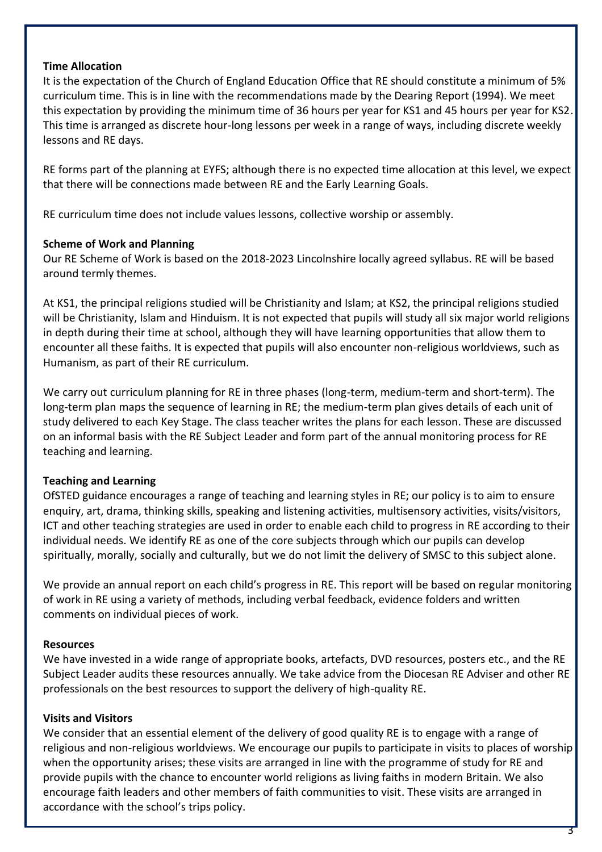# **Time Allocation**

It is the expectation of the Church of England Education Office that RE should constitute a minimum of 5% curriculum time. This is in line with the recommendations made by the Dearing Report (1994). We meet this expectation by providing the minimum time of 36 hours per year for KS1 and 45 hours per year for KS2. This time is arranged as discrete hour-long lessons per week in a range of ways, including discrete weekly lessons and RE days.

RE forms part of the planning at EYFS; although there is no expected time allocation at this level, we expect that there will be connections made between RE and the Early Learning Goals.

RE curriculum time does not include values lessons, collective worship or assembly.

# **Scheme of Work and Planning**

Our RE Scheme of Work is based on the 2018-2023 Lincolnshire locally agreed syllabus. RE will be based around termly themes.

At KS1, the principal religions studied will be Christianity and Islam; at KS2, the principal religions studied will be Christianity, Islam and Hinduism. It is not expected that pupils will study all six major world religions in depth during their time at school, although they will have learning opportunities that allow them to encounter all these faiths. It is expected that pupils will also encounter non-religious worldviews, such as Humanism, as part of their RE curriculum.

We carry out curriculum planning for RE in three phases (long-term, medium-term and short-term). The long-term plan maps the sequence of learning in RE; the medium-term plan gives details of each unit of study delivered to each Key Stage. The class teacher writes the plans for each lesson. These are discussed on an informal basis with the RE Subject Leader and form part of the annual monitoring process for RE teaching and learning.

# **Teaching and Learning**

OfSTED guidance encourages a range of teaching and learning styles in RE; our policy is to aim to ensure enquiry, art, drama, thinking skills, speaking and listening activities, multisensory activities, visits/visitors, ICT and other teaching strategies are used in order to enable each child to progress in RE according to their individual needs. We identify RE as one of the core subjects through which our pupils can develop spiritually, morally, socially and culturally, but we do not limit the delivery of SMSC to this subject alone.

We provide an annual report on each child's progress in RE. This report will be based on regular monitoring of work in RE using a variety of methods, including verbal feedback, evidence folders and written comments on individual pieces of work.

#### **Resources**

We have invested in a wide range of appropriate books, artefacts, DVD resources, posters etc., and the RE Subject Leader audits these resources annually. We take advice from the Diocesan RE Adviser and other RE professionals on the best resources to support the delivery of high-quality RE.

# **Visits and Visitors**

We consider that an essential element of the delivery of good quality RE is to engage with a range of religious and non-religious worldviews. We encourage our pupils to participate in visits to places of worship when the opportunity arises; these visits are arranged in line with the programme of study for RE and provide pupils with the chance to encounter world religions as living faiths in modern Britain. We also encourage faith leaders and other members of faith communities to visit. These visits are arranged in accordance with the school's trips policy.